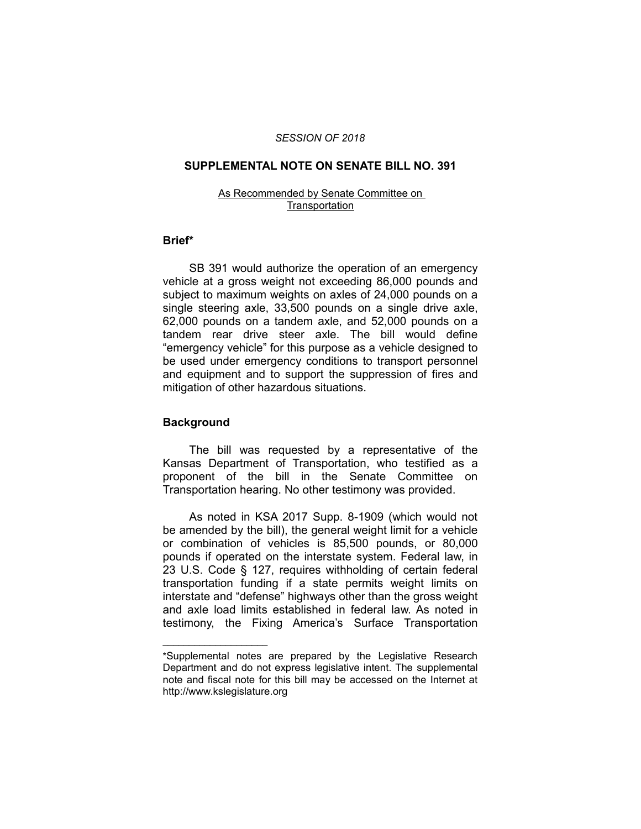### *SESSION OF 2018*

### **SUPPLEMENTAL NOTE ON SENATE BILL NO. 391**

### As Recommended by Senate Committee on **Transportation**

# **Brief\***

SB 391 would authorize the operation of an emergency vehicle at a gross weight not exceeding 86,000 pounds and subject to maximum weights on axles of 24,000 pounds on a single steering axle, 33,500 pounds on a single drive axle, 62,000 pounds on a tandem axle, and 52,000 pounds on a tandem rear drive steer axle. The bill would define "emergency vehicle" for this purpose as a vehicle designed to be used under emergency conditions to transport personnel and equipment and to support the suppression of fires and mitigation of other hazardous situations.

# **Background**

 $\overline{\phantom{a}}$  , where  $\overline{\phantom{a}}$  , where  $\overline{\phantom{a}}$ 

The bill was requested by a representative of the Kansas Department of Transportation, who testified as a proponent of the bill in the Senate Committee on Transportation hearing. No other testimony was provided.

As noted in KSA 2017 Supp. 8-1909 (which would not be amended by the bill), the general weight limit for a vehicle or combination of vehicles is 85,500 pounds, or 80,000 pounds if operated on the interstate system. Federal law, in 23 U.S. Code § 127, requires withholding of certain federal transportation funding if a state permits weight limits on interstate and "defense" highways other than the gross weight and axle load limits established in federal law. As noted in testimony, the Fixing America's Surface Transportation

<sup>\*</sup>Supplemental notes are prepared by the Legislative Research Department and do not express legislative intent. The supplemental note and fiscal note for this bill may be accessed on the Internet at http://www.kslegislature.org